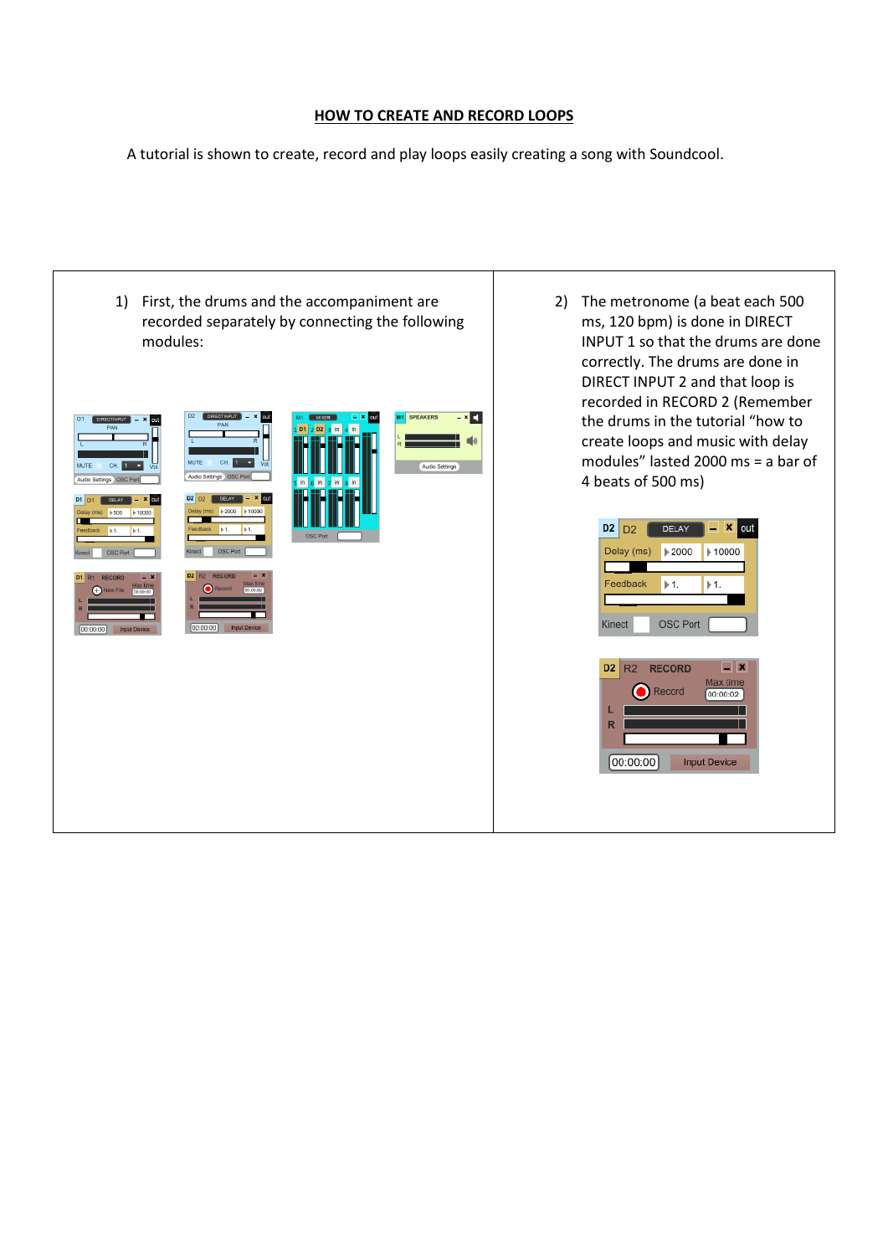## **HOW TO CREATE AND RECORD LOOPS**

A tutorial is shown to create, record and play loops easily creating a song with Soundcool.